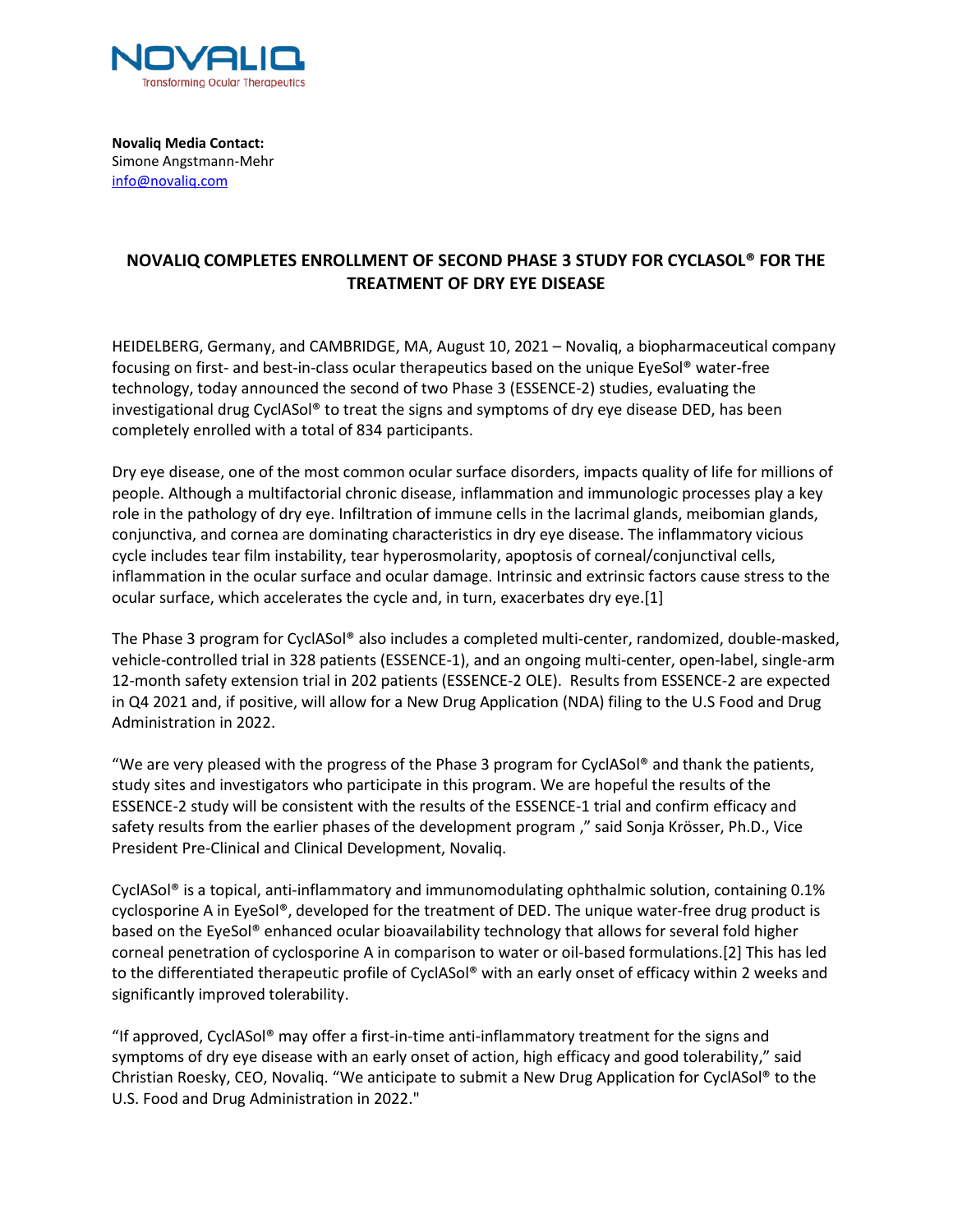

**Novaliq Media Contact:** Simone Angstmann-Mehr info@novaliq.com

## **NOVALIQ COMPLETES ENROLLMENT OF SECOND PHASE 3 STUDY FOR CYCLASOL® FOR THE TREATMENT OF DRY EYE DISEASE**

HEIDELBERG, Germany, and CAMBRIDGE, MA, August 10, 2021 – Novaliq, a biopharmaceutical company focusing on first- and best-in-class ocular therapeutics based on the unique EyeSol® water-free technology, today announced the second of two Phase 3 (ESSENCE-2) studies, evaluating the investigational drug CyclASol® to treat the signs and symptoms of dry eye disease DED, has been completely enrolled with a total of 834 participants.

Dry eye disease, one of the most common ocular surface disorders, impacts quality of life for millions of people. Although a multifactorial chronic disease, inflammation and immunologic processes play a key role in the pathology of dry eye. Infiltration of immune cells in the lacrimal glands, meibomian glands, conjunctiva, and cornea are dominating characteristics in dry eye disease. The inflammatory vicious cycle includes tear film instability, tear hyperosmolarity, apoptosis of corneal/conjunctival cells, inflammation in the ocular surface and ocular damage. Intrinsic and extrinsic factors cause stress to the ocular surface, which accelerates the cycle and, in turn, exacerbates dry eye.[1]

The Phase 3 program for CyclASol® also includes a completed multi-center, randomized, double-masked, vehicle-controlled trial in 328 patients (ESSENCE-1), and an ongoing multi-center, open-label, single-arm 12-month safety extension trial in 202 patients (ESSENCE-2 OLE). Results from ESSENCE-2 are expected in Q4 2021 and, if positive, will allow for a New Drug Application (NDA) filing to the U.S Food and Drug Administration in 2022.

"We are very pleased with the progress of the Phase 3 program for CyclASol® and thank the patients, study sites and investigators who participate in this program. We are hopeful the results of the ESSENCE-2 study will be consistent with the results of the ESSENCE-1 trial and confirm efficacy and safety results from the earlier phases of the development program ," said Sonja Krösser, Ph.D., Vice President Pre-Clinical and Clinical Development, Novaliq.

CyclASol<sup>®</sup> is a topical, anti-inflammatory and immunomodulating ophthalmic solution, containing 0.1% cyclosporine A in EyeSol®, developed for the treatment of DED. The unique water-free drug product is based on the EyeSol® enhanced ocular bioavailability technology that allows for several fold higher corneal penetration of cyclosporine A in comparison to water or oil-based formulations.[2] This has led to the differentiated therapeutic profile of CyclASol® with an early onset of efficacy within 2 weeks and significantly improved tolerability.

"If approved, CyclASol® may offer a first-in-time anti-inflammatory treatment for the signs and symptoms of dry eye disease with an early onset of action, high efficacy and good tolerability," said Christian Roesky, CEO, Novaliq. "We anticipate to submit a New Drug Application for CyclASol® to the U.S. Food and Drug Administration in 2022."